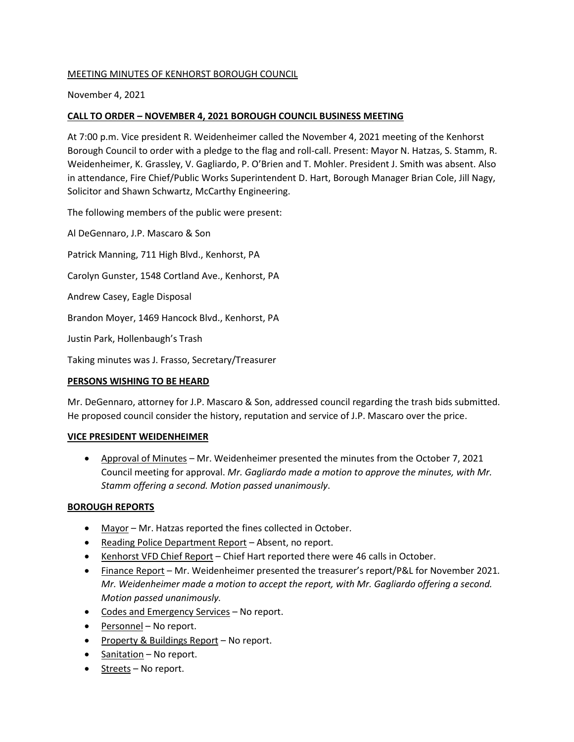# MEETING MINUTES OF KENHORST BOROUGH COUNCIL

November 4, 2021

# **CALL TO ORDER – NOVEMBER 4, 2021 BOROUGH COUNCIL BUSINESS MEETING**

At 7:00 p.m. Vice president R. Weidenheimer called the November 4, 2021 meeting of the Kenhorst Borough Council to order with a pledge to the flag and roll-call. Present: Mayor N. Hatzas, S. Stamm, R. Weidenheimer, K. Grassley, V. Gagliardo, P. O'Brien and T. Mohler. President J. Smith was absent. Also in attendance, Fire Chief/Public Works Superintendent D. Hart, Borough Manager Brian Cole, Jill Nagy, Solicitor and Shawn Schwartz, McCarthy Engineering.

The following members of the public were present:

Al DeGennaro, J.P. Mascaro & Son Patrick Manning, 711 High Blvd., Kenhorst, PA Carolyn Gunster, 1548 Cortland Ave., Kenhorst, PA Andrew Casey, Eagle Disposal Brandon Moyer, 1469 Hancock Blvd., Kenhorst, PA Justin Park, Hollenbaugh's Trash

Taking minutes was J. Frasso, Secretary/Treasurer

# **PERSONS WISHING TO BE HEARD**

Mr. DeGennaro, attorney for J.P. Mascaro & Son, addressed council regarding the trash bids submitted. He proposed council consider the history, reputation and service of J.P. Mascaro over the price.

# **VICE PRESIDENT WEIDENHEIMER**

• Approval of Minutes – Mr. Weidenheimer presented the minutes from the October 7, 2021 Council meeting for approval. *Mr. Gagliardo made a motion to approve the minutes, with Mr. Stamm offering a second. Motion passed unanimously*.

# **BOROUGH REPORTS**

- Mayor Mr. Hatzas reported the fines collected in October.
- Reading Police Department Report Absent, no report.
- Kenhorst VFD Chief Report Chief Hart reported there were 46 calls in October.
- Finance Report Mr. Weidenheimer presented the treasurer's report/P&L for November 2021*. Mr. Weidenheimer made a motion to accept the report, with Mr. Gagliardo offering a second. Motion passed unanimously.*
- Codes and Emergency Services No report.
- Personnel No report.
- Property & Buildings Report No report.
- Sanitation No report.
- Streets No report.